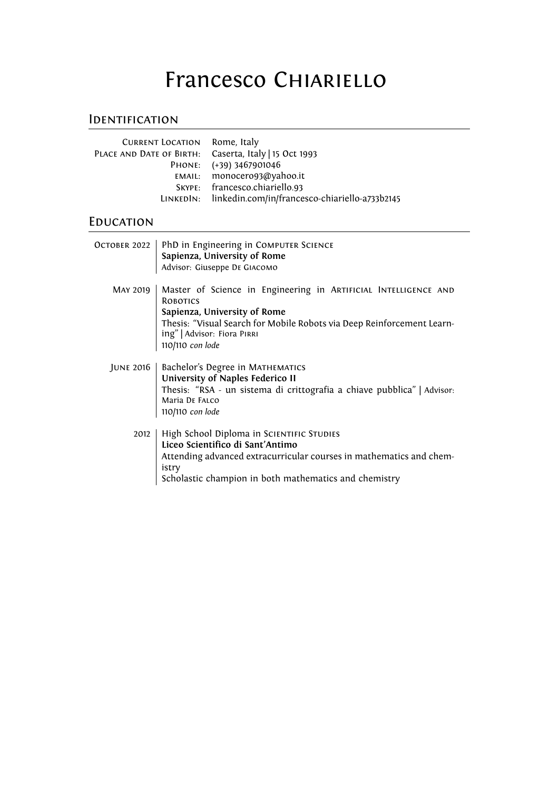# Francesco CHIARIELLO

## **IDENTIFICATION**

| <b>CURRENT LOCATION Rome, Italy</b>                   |                                                          |
|-------------------------------------------------------|----------------------------------------------------------|
| PLACE AND DATE OF BIRTH: Caserta, Italy   15 Oct 1993 |                                                          |
|                                                       | PHONE: (+39) 3467901046                                  |
|                                                       | EMAIL: monocero93@yahoo.it                               |
|                                                       | SKYPE: francesco.chiariello.93                           |
|                                                       | LINKEDIN: linkedin.com/in/francesco-chiariello-a733b2145 |
|                                                       |                                                          |

# **EDUCATION**

| OCTOBER 2022 | PhD in Engineering in COMPUTER SCIENCE<br>Sapienza, University of Rome<br>Advisor: Giuseppe DE GIACOMO                                                                                                                                          |
|--------------|-------------------------------------------------------------------------------------------------------------------------------------------------------------------------------------------------------------------------------------------------|
| MAY 2019     | Master of Science in Engineering in ARTIFICIAL INTELLIGENCE AND<br><b>ROBOTICS</b><br>Sapienza, University of Rome<br>Thesis: "Visual Search for Mobile Robots via Deep Reinforcement Learn-<br>ing"   Advisor: Fiora PIRRI<br>110/110 con lode |
| JUNE 2016    | Bachelor's Degree in MATHEMATICS<br>University of Naples Federico II<br>Thesis: "RSA - un sistema di crittografia a chiave pubblica"   Advisor:<br>Maria DE FALCO<br>110/110 con lode                                                           |
| 2012         | High School Diploma in SCIENTIFIC STUDIES<br>Liceo Scientifico di Sant'Antimo<br>Attending advanced extracurricular courses in mathematics and chem-<br>istry<br>Scholastic champion in both mathematics and chemistry                          |